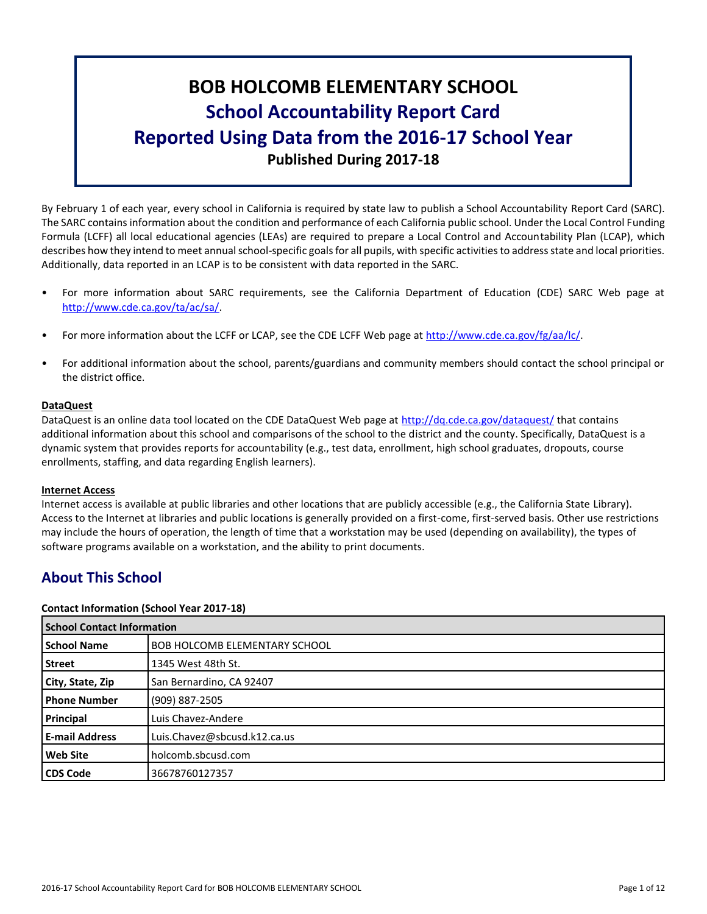# **BOB HOLCOMB ELEMENTARY SCHOOL School Accountability Report Card Reported Using Data from the 2016-17 School Year Published During 2017-18**

By February 1 of each year, every school in California is required by state law to publish a School Accountability Report Card (SARC). The SARC contains information about the condition and performance of each California public school. Under the Local Control Funding Formula (LCFF) all local educational agencies (LEAs) are required to prepare a Local Control and Accountability Plan (LCAP), which describes how they intend to meet annual school-specific goals for all pupils, with specific activities to address state and local priorities. Additionally, data reported in an LCAP is to be consistent with data reported in the SARC.

- For more information about SARC requirements, see the California Department of Education (CDE) SARC Web page at [http://www.cde.ca.gov/ta/ac/sa/.](http://www.cde.ca.gov/ta/ac/sa/)
- For more information about the LCFF or LCAP, see the CDE LCFF Web page at [http://www.cde.ca.gov/fg/aa/lc/.](http://www.cde.ca.gov/fg/aa/lc/)
- For additional information about the school, parents/guardians and community members should contact the school principal or the district office.

# **DataQuest**

DataQuest is an online data tool located on the CDE DataQuest Web page at<http://dq.cde.ca.gov/dataquest/> that contains additional information about this school and comparisons of the school to the district and the county. Specifically, DataQuest is a dynamic system that provides reports for accountability (e.g., test data, enrollment, high school graduates, dropouts, course enrollments, staffing, and data regarding English learners).

# **Internet Access**

Internet access is available at public libraries and other locations that are publicly accessible (e.g., the California State Library). Access to the Internet at libraries and public locations is generally provided on a first-come, first-served basis. Other use restrictions may include the hours of operation, the length of time that a workstation may be used (depending on availability), the types of software programs available on a workstation, and the ability to print documents.

# **About This School**

# **Contact Information (School Year 2017-18)**

| <b>School Contact Information</b> |                                      |
|-----------------------------------|--------------------------------------|
| <b>School Name</b>                | <b>BOB HOLCOMB ELEMENTARY SCHOOL</b> |
| Street                            | 1345 West 48th St.                   |
| City, State, Zip                  | San Bernardino, CA 92407             |
| <b>Phone Number</b>               | (909) 887-2505                       |
| Principal                         | Luis Chavez-Andere                   |
| <b>E-mail Address</b>             | Luis.Chavez@sbcusd.k12.ca.us         |
| <b>Web Site</b>                   | holcomb.sbcusd.com                   |
| <b>CDS Code</b>                   | 36678760127357                       |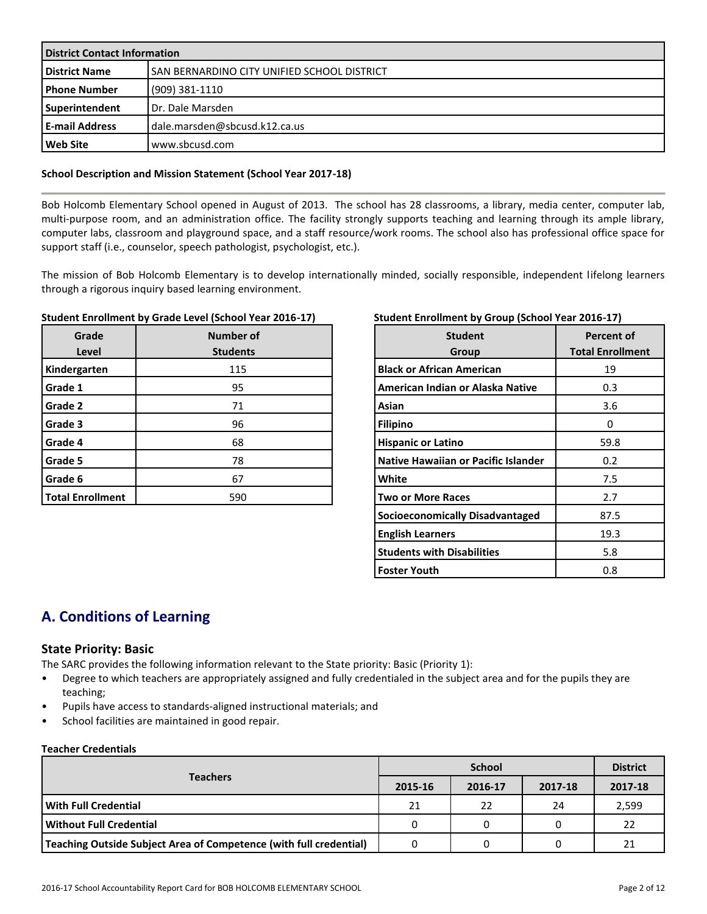| <b>District Contact Information</b> |                                                    |  |  |  |
|-------------------------------------|----------------------------------------------------|--|--|--|
| <b>District Name</b>                | <b>SAN BERNARDINO CITY UNIFIED SCHOOL DISTRICT</b> |  |  |  |
| l Phone Number                      | $(909)$ 381-1110                                   |  |  |  |
| Superintendent                      | Dr. Dale Marsden                                   |  |  |  |
| l E-mail Address                    | dale.marsden@sbcusd.k12.ca.us                      |  |  |  |
| Web Site                            | www.sbcusd.com                                     |  |  |  |

# **School Description and Mission Statement (School Year 2017-18)**

Bob Holcomb Elementary School opened in August of 2013. The school has 28 classrooms, a library, media center, computer lab, multi-purpose room, and an administration office. The facility strongly supports teaching and learning through its ample library, computer labs, classroom and playground space, and a staff resource/work rooms. The school also has professional office space for support staff (i.e., counselor, speech pathologist, psychologist, etc.).

The mission of Bob Holcomb Elementary is to develop internationally minded, socially responsible, independent lifelong learners through a rigorous inquiry based learning environment.

# **Student Enrollment by Grade Level (School Year 2016-17)**

| Grade<br>Level          | <b>Number of</b><br><b>Students</b> |
|-------------------------|-------------------------------------|
| Kindergarten            | 115                                 |
| Grade 1                 | 95                                  |
| Grade 2                 | 71                                  |
| Grade 3                 | 96                                  |
| Grade 4                 | 68                                  |
| Grade 5                 | 78                                  |
| Grade 6                 | 67                                  |
| <b>Total Enrollment</b> | 590                                 |

# **Student Enrollment by Group (School Year 2016-17)**

| <b>Student</b><br>Group                | <b>Percent of</b><br><b>Total Enrollment</b> |
|----------------------------------------|----------------------------------------------|
| <b>Black or African American</b>       | 19                                           |
| American Indian or Alaska Native       | 0.3                                          |
| Asian                                  | 3.6                                          |
| <b>Filipino</b>                        | Ω                                            |
| <b>Hispanic or Latino</b>              | 59.8                                         |
| Native Hawaiian or Pacific Islander    | 0.2                                          |
| White                                  | 7.5                                          |
| <b>Two or More Races</b>               | 2.7                                          |
| <b>Socioeconomically Disadvantaged</b> | 87.5                                         |
| <b>English Learners</b>                | 19.3                                         |
| <b>Students with Disabilities</b>      | 5.8                                          |
| Foster Youth                           | 0.8                                          |

# **A. Conditions of Learning**

# **State Priority: Basic**

The SARC provides the following information relevant to the State priority: Basic (Priority 1):

- Degree to which teachers are appropriately assigned and fully credentialed in the subject area and for the pupils they are teaching;
- Pupils have access to standards-aligned instructional materials; and
- School facilities are maintained in good repair.

## **Teacher Credentials**

|                                                                    |         | <b>District</b> |         |         |
|--------------------------------------------------------------------|---------|-----------------|---------|---------|
| <b>Teachers</b>                                                    | 2015-16 | 2016-17         | 2017-18 | 2017-18 |
| With Full Credential                                               | 21      | 22              | 24      | 2,599   |
| Without Full Credential                                            | 0       |                 |         | 22      |
| Teaching Outside Subject Area of Competence (with full credential) |         |                 |         | 21      |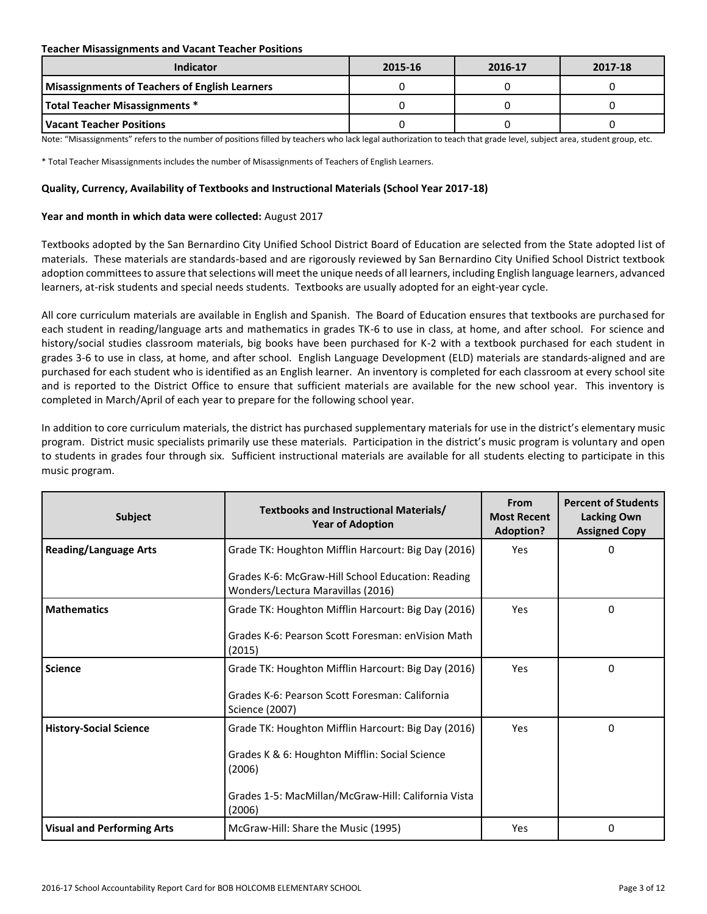## **Teacher Misassignments and Vacant Teacher Positions**

| Indicator                                             | 2015-16 | 2016-17 | 2017-18 |
|-------------------------------------------------------|---------|---------|---------|
| <b>Misassignments of Teachers of English Learners</b> |         |         |         |
| <b>Total Teacher Misassignments *</b>                 |         |         |         |
| l Vacant Teacher Positions                            |         |         |         |

Note: "Misassignments" refers to the number of positions filled by teachers who lack legal authorization to teach that grade level, subject area, student group, etc.

\* Total Teacher Misassignments includes the number of Misassignments of Teachers of English Learners.

## **Quality, Currency, Availability of Textbooks and Instructional Materials (School Year 2017-18)**

# **Year and month in which data were collected:** August 2017

Textbooks adopted by the San Bernardino City Unified School District Board of Education are selected from the State adopted list of materials. These materials are standards-based and are rigorously reviewed by San Bernardino City Unified School District textbook adoption committees to assure that selections will meet the unique needs of all learners, including English language learners, advanced learners, at-risk students and special needs students. Textbooks are usually adopted for an eight-year cycle.

All core curriculum materials are available in English and Spanish. The Board of Education ensures that textbooks are purchased for each student in reading/language arts and mathematics in grades TK-6 to use in class, at home, and after school. For science and history/social studies classroom materials, big books have been purchased for K-2 with a textbook purchased for each student in grades 3-6 to use in class, at home, and after school. English Language Development (ELD) materials are standards-aligned and are purchased for each student who is identified as an English learner. An inventory is completed for each classroom at every school site and is reported to the District Office to ensure that sufficient materials are available for the new school year. This inventory is completed in March/April of each year to prepare for the following school year.

In addition to core curriculum materials, the district has purchased supplementary materials for use in the district's elementary music program. District music specialists primarily use these materials. Participation in the district's music program is voluntary and open to students in grades four through six. Sufficient instructional materials are available for all students electing to participate in this music program.

| <b>Subject</b>                    | Textbooks and Instructional Materials/<br><b>Year of Adoption</b>                      | From<br><b>Most Recent</b><br><b>Adoption?</b> | <b>Percent of Students</b><br><b>Lacking Own</b><br><b>Assigned Copy</b> |
|-----------------------------------|----------------------------------------------------------------------------------------|------------------------------------------------|--------------------------------------------------------------------------|
| <b>Reading/Language Arts</b>      | Grade TK: Houghton Mifflin Harcourt: Big Day (2016)                                    | Yes                                            | 0                                                                        |
|                                   | Grades K-6: McGraw-Hill School Education: Reading<br>Wonders/Lectura Maravillas (2016) |                                                |                                                                          |
| <b>Mathematics</b>                | Grade TK: Houghton Mifflin Harcourt: Big Day (2016)                                    | Yes                                            | $\Omega$                                                                 |
|                                   | Grades K-6: Pearson Scott Foresman: enVision Math<br>(2015)                            |                                                |                                                                          |
| <b>Science</b>                    | Grade TK: Houghton Mifflin Harcourt: Big Day (2016)                                    | Yes                                            | 0                                                                        |
|                                   | Grades K-6: Pearson Scott Foresman: California<br>Science (2007)                       |                                                |                                                                          |
| <b>History-Social Science</b>     | Grade TK: Houghton Mifflin Harcourt: Big Day (2016)                                    | Yes                                            | $\Omega$                                                                 |
|                                   | Grades K & 6: Houghton Mifflin: Social Science<br>(2006)                               |                                                |                                                                          |
|                                   | Grades 1-5: MacMillan/McGraw-Hill: California Vista<br>(2006)                          |                                                |                                                                          |
| <b>Visual and Performing Arts</b> | McGraw-Hill: Share the Music (1995)                                                    | Yes                                            | $\Omega$                                                                 |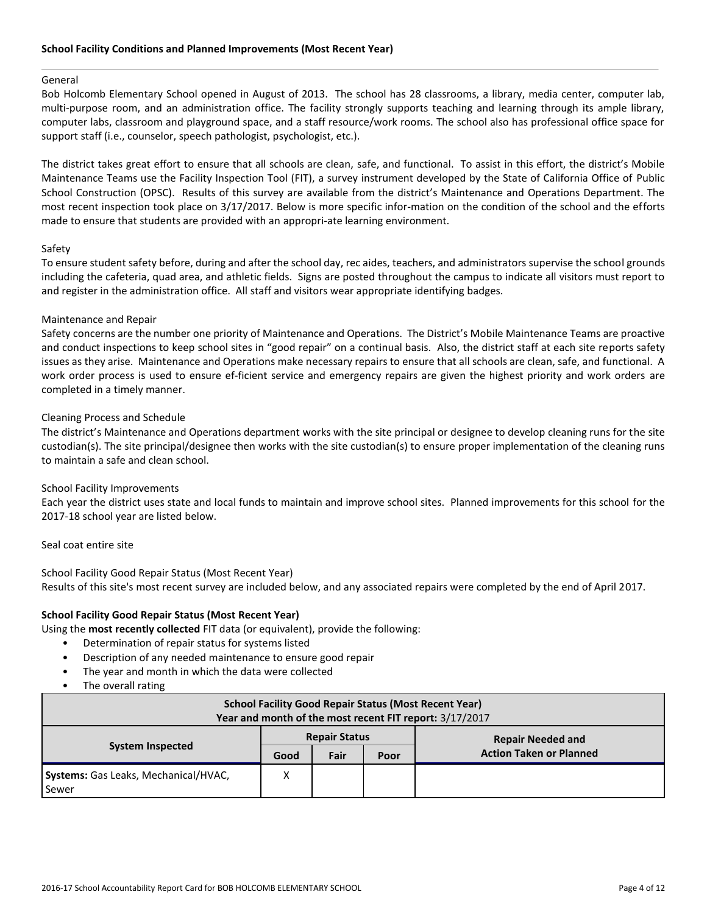## General

Bob Holcomb Elementary School opened in August of 2013. The school has 28 classrooms, a library, media center, computer lab, multi-purpose room, and an administration office. The facility strongly supports teaching and learning through its ample library, computer labs, classroom and playground space, and a staff resource/work rooms. The school also has professional office space for support staff (i.e., counselor, speech pathologist, psychologist, etc.).

The district takes great effort to ensure that all schools are clean, safe, and functional. To assist in this effort, the district's Mobile Maintenance Teams use the Facility Inspection Tool (FIT), a survey instrument developed by the State of California Office of Public School Construction (OPSC). Results of this survey are available from the district's Maintenance and Operations Department. The most recent inspection took place on 3/17/2017. Below is more specific infor-mation on the condition of the school and the efforts made to ensure that students are provided with an appropri-ate learning environment.

# Safety

To ensure student safety before, during and after the school day, rec aides, teachers, and administrators supervise the school grounds including the cafeteria, quad area, and athletic fields. Signs are posted throughout the campus to indicate all visitors must report to and register in the administration office. All staff and visitors wear appropriate identifying badges.

# Maintenance and Repair

Safety concerns are the number one priority of Maintenance and Operations. The District's Mobile Maintenance Teams are proactive and conduct inspections to keep school sites in "good repair" on a continual basis. Also, the district staff at each site reports safety issues as they arise. Maintenance and Operations make necessary repairs to ensure that all schools are clean, safe, and functional. A work order process is used to ensure ef-ficient service and emergency repairs are given the highest priority and work orders are completed in a timely manner.

# Cleaning Process and Schedule

The district's Maintenance and Operations department works with the site principal or designee to develop cleaning runs for the site custodian(s). The site principal/designee then works with the site custodian(s) to ensure proper implementation of the cleaning runs to maintain a safe and clean school.

# School Facility Improvements

Each year the district uses state and local funds to maintain and improve school sites. Planned improvements for this school for the 2017-18 school year are listed below.

## Seal coat entire site

School Facility Good Repair Status (Most Recent Year) Results of this site's most recent survey are included below, and any associated repairs were completed by the end of April 2017.

# **School Facility Good Repair Status (Most Recent Year)**

Using the **most recently collected** FIT data (or equivalent), provide the following:

- Determination of repair status for systems listed
- Description of any needed maintenance to ensure good repair
- The year and month in which the data were collected
- The overall rating

| <b>School Facility Good Repair Status (Most Recent Year)</b><br>Year and month of the most recent FIT report: 3/17/2017 |                      |      |      |                                |  |  |  |
|-------------------------------------------------------------------------------------------------------------------------|----------------------|------|------|--------------------------------|--|--|--|
| <b>System Inspected</b>                                                                                                 | <b>Repair Status</b> |      |      | <b>Repair Needed and</b>       |  |  |  |
|                                                                                                                         | Good                 | Fair | Poor | <b>Action Taken or Planned</b> |  |  |  |
| Systems: Gas Leaks, Mechanical/HVAC,<br>Sewer                                                                           | Χ                    |      |      |                                |  |  |  |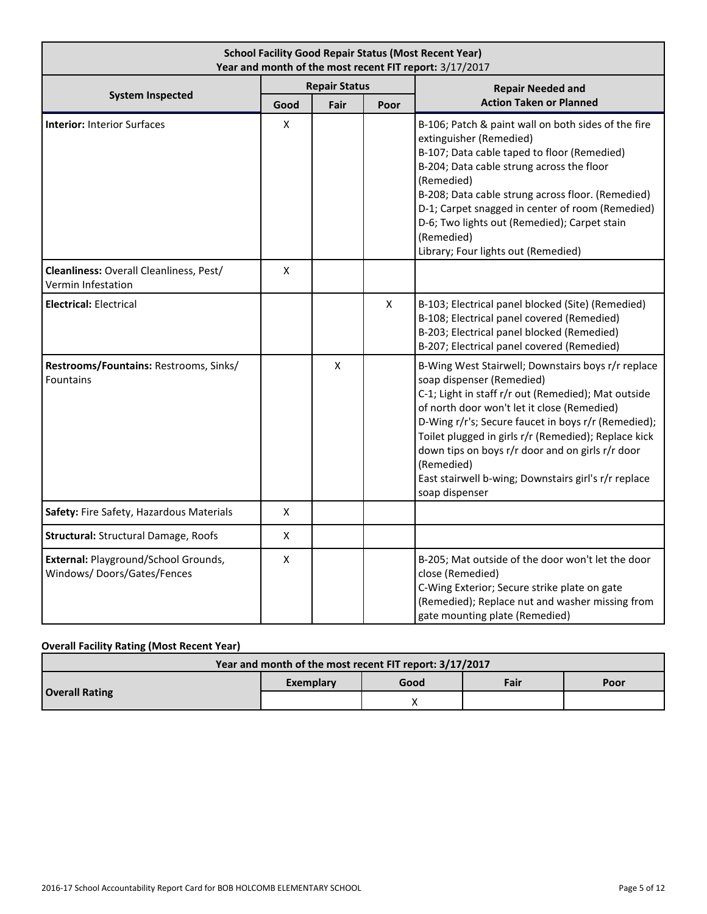| <b>School Facility Good Repair Status (Most Recent Year)</b><br>Year and month of the most recent FIT report: 3/17/2017 |                    |                      |   |                                                                                                                                                                                                                                                                                                                                                                                                                                                  |  |  |  |
|-------------------------------------------------------------------------------------------------------------------------|--------------------|----------------------|---|--------------------------------------------------------------------------------------------------------------------------------------------------------------------------------------------------------------------------------------------------------------------------------------------------------------------------------------------------------------------------------------------------------------------------------------------------|--|--|--|
|                                                                                                                         |                    | <b>Repair Status</b> |   | <b>Repair Needed and</b>                                                                                                                                                                                                                                                                                                                                                                                                                         |  |  |  |
| <b>System Inspected</b>                                                                                                 | Good               | Fair<br>Poor         |   | <b>Action Taken or Planned</b>                                                                                                                                                                                                                                                                                                                                                                                                                   |  |  |  |
| <b>Interior: Interior Surfaces</b>                                                                                      | Χ                  |                      |   | B-106; Patch & paint wall on both sides of the fire<br>extinguisher (Remedied)<br>B-107; Data cable taped to floor (Remedied)<br>B-204; Data cable strung across the floor<br>(Remedied)<br>B-208; Data cable strung across floor. (Remedied)<br>D-1; Carpet snagged in center of room (Remedied)<br>D-6; Two lights out (Remedied); Carpet stain<br>(Remedied)<br>Library; Four lights out (Remedied)                                           |  |  |  |
| Cleanliness: Overall Cleanliness, Pest/<br>Vermin Infestation                                                           | X                  |                      |   |                                                                                                                                                                                                                                                                                                                                                                                                                                                  |  |  |  |
| <b>Electrical: Electrical</b>                                                                                           |                    |                      | X | B-103; Electrical panel blocked (Site) (Remedied)<br>B-108; Electrical panel covered (Remedied)<br>B-203; Electrical panel blocked (Remedied)<br>B-207; Electrical panel covered (Remedied)                                                                                                                                                                                                                                                      |  |  |  |
| Restrooms/Fountains: Restrooms, Sinks/<br>Fountains                                                                     |                    | X                    |   | B-Wing West Stairwell; Downstairs boys r/r replace<br>soap dispenser (Remedied)<br>C-1; Light in staff r/r out (Remedied); Mat outside<br>of north door won't let it close (Remedied)<br>D-Wing r/r's; Secure faucet in boys r/r (Remedied);<br>Toilet plugged in girls r/r (Remedied); Replace kick<br>down tips on boys r/r door and on girls r/r door<br>(Remedied)<br>East stairwell b-wing; Downstairs girl's r/r replace<br>soap dispenser |  |  |  |
| Safety: Fire Safety, Hazardous Materials                                                                                | Χ                  |                      |   |                                                                                                                                                                                                                                                                                                                                                                                                                                                  |  |  |  |
| <b>Structural: Structural Damage, Roofs</b>                                                                             | $\pmb{\mathsf{X}}$ |                      |   |                                                                                                                                                                                                                                                                                                                                                                                                                                                  |  |  |  |
| External: Playground/School Grounds,<br>Windows/Doors/Gates/Fences                                                      | Χ                  |                      |   | B-205; Mat outside of the door won't let the door<br>close (Remedied)<br>C-Wing Exterior; Secure strike plate on gate<br>(Remedied); Replace nut and washer missing from<br>gate mounting plate (Remedied)                                                                                                                                                                                                                                       |  |  |  |

# **Overall Facility Rating (Most Recent Year)**

| Year and month of the most recent FIT report: 3/17/2017 |                   |  |      |      |  |  |  |
|---------------------------------------------------------|-------------------|--|------|------|--|--|--|
|                                                         | Good<br>Exemplary |  | Fair | Poor |  |  |  |
| <b>Overall Rating</b>                                   |                   |  |      |      |  |  |  |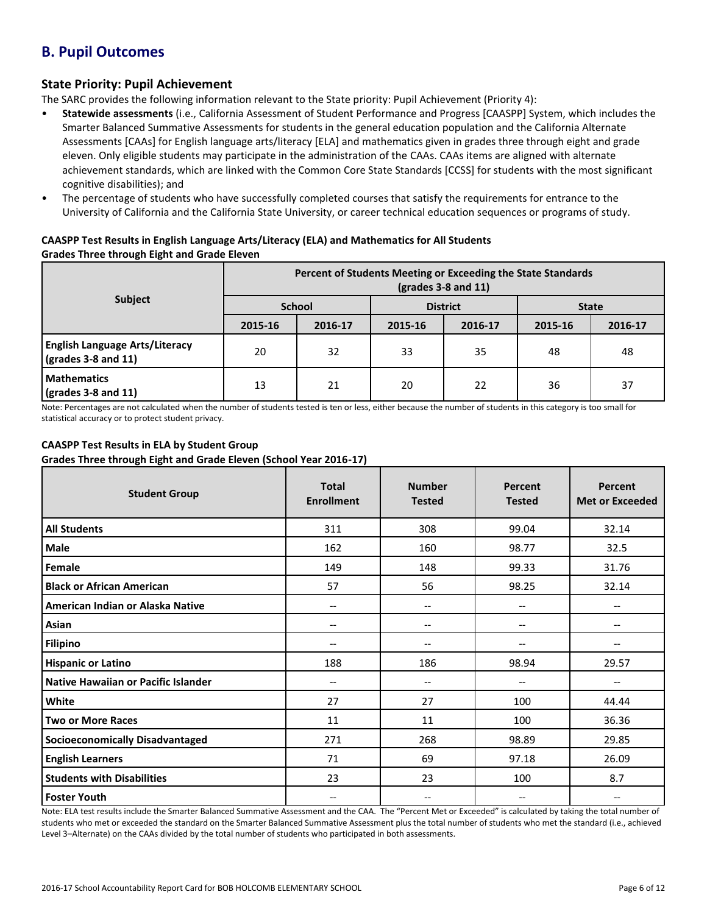# **B. Pupil Outcomes**

# **State Priority: Pupil Achievement**

The SARC provides the following information relevant to the State priority: Pupil Achievement (Priority 4):

- **Statewide assessments** (i.e., California Assessment of Student Performance and Progress [CAASPP] System, which includes the Smarter Balanced Summative Assessments for students in the general education population and the California Alternate Assessments [CAAs] for English language arts/literacy [ELA] and mathematics given in grades three through eight and grade eleven. Only eligible students may participate in the administration of the CAAs. CAAs items are aligned with alternate achievement standards, which are linked with the Common Core State Standards [CCSS] for students with the most significant cognitive disabilities); and
- The percentage of students who have successfully completed courses that satisfy the requirements for entrance to the University of California and the California State University, or career technical education sequences or programs of study.

# **CAASPP Test Results in English Language Arts/Literacy (ELA) and Mathematics for All Students Grades Three through Eight and Grade Eleven**

|                                                                      | Percent of Students Meeting or Exceeding the State Standards<br>$\left(\text{grades }3 - 8 \text{ and } 11\right)$ |               |         |                 |              |         |  |
|----------------------------------------------------------------------|--------------------------------------------------------------------------------------------------------------------|---------------|---------|-----------------|--------------|---------|--|
| <b>Subject</b>                                                       |                                                                                                                    | <b>School</b> |         | <b>District</b> | <b>State</b> |         |  |
|                                                                      | 2015-16                                                                                                            | 2016-17       | 2015-16 | 2016-17         | 2015-16      | 2016-17 |  |
| <b>English Language Arts/Literacy</b><br>$\sqrt{grades}$ 3-8 and 11) | 20                                                                                                                 | 32            | 33      | 35              | 48           | 48      |  |
| <b>Mathematics</b><br>$\sqrt{\frac{1}{2}}$ (grades 3-8 and 11)       | 13                                                                                                                 | 21            | 20      | 22              | 36           | 37      |  |

Note: Percentages are not calculated when the number of students tested is ten or less, either because the number of students in this category is too small for statistical accuracy or to protect student privacy.

# **CAASPP Test Results in ELA by Student Group**

**Grades Three through Eight and Grade Eleven (School Year 2016-17)**

| <b>Student Group</b>                   | <b>Total</b><br><b>Enrollment</b> | <b>Number</b><br><b>Tested</b> | Percent<br><b>Tested</b> | Percent<br><b>Met or Exceeded</b> |
|----------------------------------------|-----------------------------------|--------------------------------|--------------------------|-----------------------------------|
| <b>All Students</b>                    | 311                               | 308                            | 99.04                    | 32.14                             |
| <b>Male</b>                            | 162                               | 160                            | 98.77                    | 32.5                              |
| Female                                 | 149                               | 148                            | 99.33                    | 31.76                             |
| <b>Black or African American</b>       | 57                                | 56                             | 98.25                    | 32.14                             |
| American Indian or Alaska Native       | $\overline{\phantom{a}}$          | $\qquad \qquad -$              | $-$                      | $-$                               |
| Asian                                  | --                                | --                             | --                       | --                                |
| <b>Filipino</b>                        | --                                | --                             | --                       |                                   |
| <b>Hispanic or Latino</b>              | 188                               | 186                            | 98.94                    | 29.57                             |
| Native Hawaiian or Pacific Islander    | --                                | $\qquad \qquad -$              | $\overline{\phantom{m}}$ |                                   |
| White                                  | 27                                | 27                             | 100                      | 44.44                             |
| <b>Two or More Races</b>               | 11                                | 11                             | 100                      | 36.36                             |
| <b>Socioeconomically Disadvantaged</b> | 271                               | 268                            | 98.89                    | 29.85                             |
| <b>English Learners</b>                | 71                                | 69                             | 97.18                    | 26.09                             |
| <b>Students with Disabilities</b>      | 23                                | 23                             | 100                      | 8.7                               |
| <b>Foster Youth</b>                    | --                                | $-$                            | --                       | --                                |

Note: ELA test results include the Smarter Balanced Summative Assessment and the CAA. The "Percent Met or Exceeded" is calculated by taking the total number of students who met or exceeded the standard on the Smarter Balanced Summative Assessment plus the total number of students who met the standard (i.e., achieved Level 3–Alternate) on the CAAs divided by the total number of students who participated in both assessments.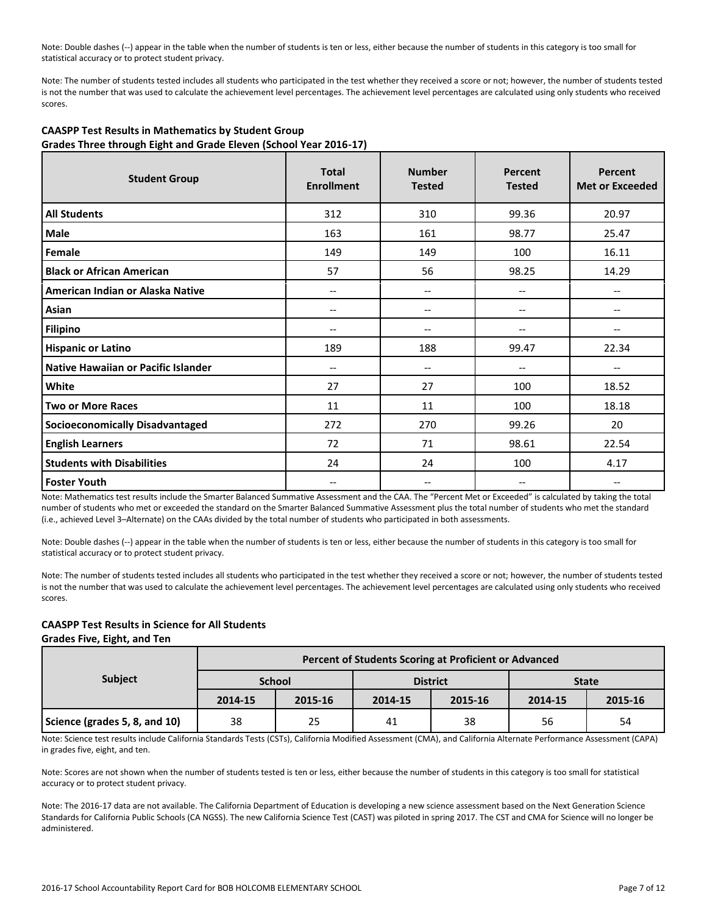Note: Double dashes (--) appear in the table when the number of students is ten or less, either because the number of students in this category is too small for statistical accuracy or to protect student privacy.

Note: The number of students tested includes all students who participated in the test whether they received a score or not; however, the number of students tested is not the number that was used to calculate the achievement level percentages. The achievement level percentages are calculated using only students who received scores.

| <b>Student Group</b>                   | <b>Total</b><br><b>Enrollment</b> | <b>Number</b><br><b>Tested</b> | Percent<br><b>Tested</b> | Percent<br><b>Met or Exceeded</b> |  |  |  |  |
|----------------------------------------|-----------------------------------|--------------------------------|--------------------------|-----------------------------------|--|--|--|--|
| <b>All Students</b>                    | 312                               | 310                            | 99.36                    | 20.97                             |  |  |  |  |
| Male                                   | 163                               | 161                            | 98.77                    | 25.47                             |  |  |  |  |
| Female                                 | 149                               | 149                            | 100                      | 16.11                             |  |  |  |  |
| <b>Black or African American</b>       | 57                                | 56                             | 98.25                    | 14.29                             |  |  |  |  |
| American Indian or Alaska Native       | --                                | --                             |                          | --                                |  |  |  |  |
| Asian                                  | --                                | $\overline{\phantom{a}}$       | $\qquad \qquad -$        | --                                |  |  |  |  |
| <b>Filipino</b>                        | $-$                               | --                             | --                       | --                                |  |  |  |  |
| <b>Hispanic or Latino</b>              | 189                               | 188                            | 99.47                    | 22.34                             |  |  |  |  |
| Native Hawaiian or Pacific Islander    | $-$                               | --                             |                          | $-$                               |  |  |  |  |
| White                                  | 27                                | 27                             | 100                      | 18.52                             |  |  |  |  |
| <b>Two or More Races</b>               | 11                                | 11                             | 100                      | 18.18                             |  |  |  |  |
| <b>Socioeconomically Disadvantaged</b> | 272                               | 270                            | 99.26                    | 20                                |  |  |  |  |
| <b>English Learners</b>                | 72                                | 71                             | 98.61                    | 22.54                             |  |  |  |  |
| <b>Students with Disabilities</b>      | 24                                | 24                             | 100                      | 4.17                              |  |  |  |  |
| <b>Foster Youth</b>                    | --                                | --                             |                          | --                                |  |  |  |  |

# **CAASPP Test Results in Mathematics by Student Group Grades Three through Eight and Grade Eleven (School Year 2016-17)**

Note: Mathematics test results include the Smarter Balanced Summative Assessment and the CAA. The "Percent Met or Exceeded" is calculated by taking the total number of students who met or exceeded the standard on the Smarter Balanced Summative Assessment plus the total number of students who met the standard (i.e., achieved Level 3–Alternate) on the CAAs divided by the total number of students who participated in both assessments.

Note: Double dashes (--) appear in the table when the number of students is ten or less, either because the number of students in this category is too small for statistical accuracy or to protect student privacy.

Note: The number of students tested includes all students who participated in the test whether they received a score or not; however, the number of students tested is not the number that was used to calculate the achievement level percentages. The achievement level percentages are calculated using only students who received scores.

# **CAASPP Test Results in Science for All Students**

**Grades Five, Eight, and Ten**

|                               | Percent of Students Scoring at Proficient or Advanced |               |         |                 |              |         |  |  |  |
|-------------------------------|-------------------------------------------------------|---------------|---------|-----------------|--------------|---------|--|--|--|
| <b>Subject</b>                |                                                       | <b>School</b> |         | <b>District</b> | <b>State</b> |         |  |  |  |
|                               | 2014-15                                               | 2015-16       | 2014-15 | 2015-16         | 2014-15      | 2015-16 |  |  |  |
| Science (grades 5, 8, and 10) | 38                                                    | 25            | 41      | 38              | 56           | 54      |  |  |  |

Note: Science test results include California Standards Tests (CSTs), California Modified Assessment (CMA), and California Alternate Performance Assessment (CAPA) in grades five, eight, and ten.

Note: Scores are not shown when the number of students tested is ten or less, either because the number of students in this category is too small for statistical accuracy or to protect student privacy.

Note: The 2016-17 data are not available. The California Department of Education is developing a new science assessment based on the Next Generation Science Standards for California Public Schools (CA NGSS). The new California Science Test (CAST) was piloted in spring 2017. The CST and CMA for Science will no longer be administered.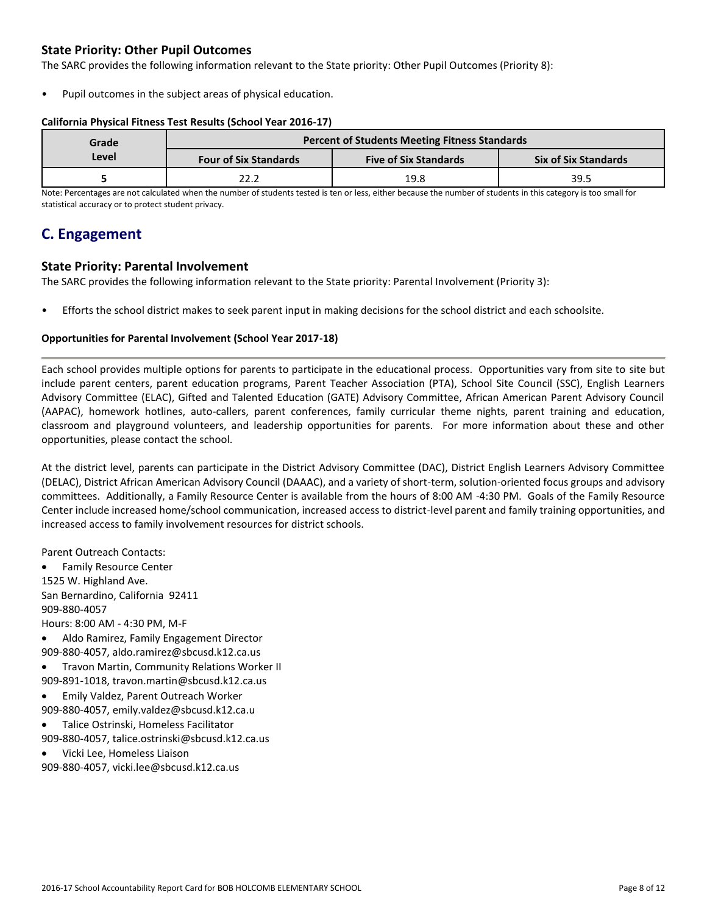# **State Priority: Other Pupil Outcomes**

The SARC provides the following information relevant to the State priority: Other Pupil Outcomes (Priority 8):

Pupil outcomes in the subject areas of physical education.

# **California Physical Fitness Test Results (School Year 2016-17)**

| Grade | <b>Percent of Students Meeting Fitness Standards</b> |                              |                             |  |  |  |
|-------|------------------------------------------------------|------------------------------|-----------------------------|--|--|--|
| Level | <b>Four of Six Standards</b>                         | <b>Five of Six Standards</b> | <b>Six of Six Standards</b> |  |  |  |
|       | 22.2                                                 | 19.8                         | 39.5                        |  |  |  |

Note: Percentages are not calculated when the number of students tested is ten or less, either because the number of students in this category is too small for statistical accuracy or to protect student privacy.

# **C. Engagement**

# **State Priority: Parental Involvement**

The SARC provides the following information relevant to the State priority: Parental Involvement (Priority 3):

• Efforts the school district makes to seek parent input in making decisions for the school district and each schoolsite.

# **Opportunities for Parental Involvement (School Year 2017-18)**

Each school provides multiple options for parents to participate in the educational process. Opportunities vary from site to site but include parent centers, parent education programs, Parent Teacher Association (PTA), School Site Council (SSC), English Learners Advisory Committee (ELAC), Gifted and Talented Education (GATE) Advisory Committee, African American Parent Advisory Council (AAPAC), homework hotlines, auto-callers, parent conferences, family curricular theme nights, parent training and education, classroom and playground volunteers, and leadership opportunities for parents. For more information about these and other opportunities, please contact the school.

At the district level, parents can participate in the District Advisory Committee (DAC), District English Learners Advisory Committee (DELAC), District African American Advisory Council (DAAAC), and a variety of short-term, solution-oriented focus groups and advisory committees. Additionally, a Family Resource Center is available from the hours of 8:00 AM -4:30 PM. Goals of the Family Resource Center include increased home/school communication, increased access to district-level parent and family training opportunities, and increased access to family involvement resources for district schools.

Parent Outreach Contacts:

 Family Resource Center 1525 W. Highland Ave. San Bernardino, California 92411 909-880-4057 Hours: 8:00 AM - 4:30 PM, M-F

- Aldo Ramirez, Family Engagement Director 909-880-4057, aldo.ramirez@sbcusd.k12.ca.us
- Travon Martin, Community Relations Worker II
- 909-891-1018, travon.martin@sbcusd.k12.ca.us
- Emily Valdez, Parent Outreach Worker 909-880-4057, emily.valdez@sbcusd.k12.ca.u
- Talice Ostrinski, Homeless Facilitator 909-880-4057, talice.ostrinski@sbcusd.k12.ca.us
- Vicki Lee, Homeless Liaison

909-880-4057, vicki.lee@sbcusd.k12.ca.us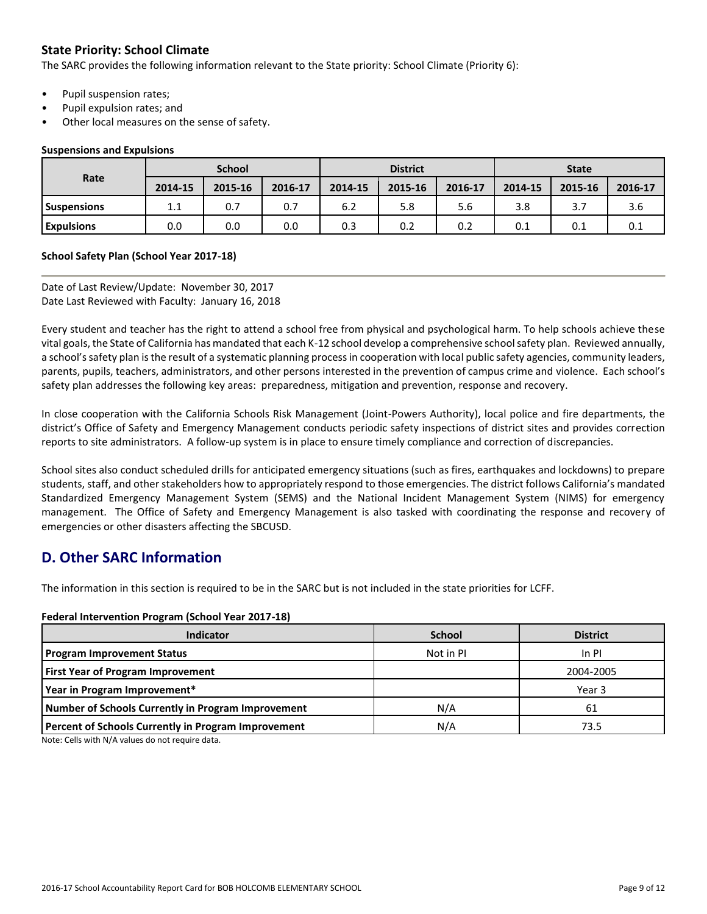# **State Priority: School Climate**

The SARC provides the following information relevant to the State priority: School Climate (Priority 6):

- Pupil suspension rates;
- Pupil expulsion rates; and
- Other local measures on the sense of safety.

## **Suspensions and Expulsions**

|                    | <b>School</b> |         |         | <b>District</b> |         |         | <b>State</b> |         |         |
|--------------------|---------------|---------|---------|-----------------|---------|---------|--------------|---------|---------|
| Rate               | 2014-15       | 2015-16 | 2016-17 | 2014-15         | 2015-16 | 2016-17 | 2014-15      | 2015-16 | 2016-17 |
| <b>Suspensions</b> | 11<br>ᆠᆞᆠ     | 0.7     | 0.7     | 6.2             | 5.8     | 5.6     | 3.8          | 3.7     | 3.6     |
| <b>Expulsions</b>  | 0.0           | 0.0     | 0.0     | 0.3             | 0.2     | 0.2     | 0.1          | 0.1     | 0.1     |

# **School Safety Plan (School Year 2017-18)**

Date of Last Review/Update: November 30, 2017 Date Last Reviewed with Faculty: January 16, 2018

Every student and teacher has the right to attend a school free from physical and psychological harm. To help schools achieve these vital goals, the State of California has mandated that each K-12 school develop a comprehensive school safety plan. Reviewed annually, a school's safety plan is the result of a systematic planning process in cooperation with local public safety agencies, community leaders, parents, pupils, teachers, administrators, and other persons interested in the prevention of campus crime and violence. Each school's safety plan addresses the following key areas: preparedness, mitigation and prevention, response and recovery.

In close cooperation with the California Schools Risk Management (Joint-Powers Authority), local police and fire departments, the district's Office of Safety and Emergency Management conducts periodic safety inspections of district sites and provides correction reports to site administrators. A follow-up system is in place to ensure timely compliance and correction of discrepancies.

School sites also conduct scheduled drills for anticipated emergency situations (such as fires, earthquakes and lockdowns) to prepare students, staff, and other stakeholders how to appropriately respond to those emergencies. The district follows California's mandated Standardized Emergency Management System (SEMS) and the National Incident Management System (NIMS) for emergency management. The Office of Safety and Emergency Management is also tasked with coordinating the response and recovery of emergencies or other disasters affecting the SBCUSD.

# **D. Other SARC Information**

The information in this section is required to be in the SARC but is not included in the state priorities for LCFF.

## **Federal Intervention Program (School Year 2017-18)**

| <b>Indicator</b>                                    | <b>School</b> | <b>District</b> |
|-----------------------------------------------------|---------------|-----------------|
| <b>Program Improvement Status</b>                   | Not in PI     | $In$ PI         |
| <b>First Year of Program Improvement</b>            |               | 2004-2005       |
| Year in Program Improvement*                        |               | Year 3          |
| Number of Schools Currently in Program Improvement  | N/A           | 61              |
| Percent of Schools Currently in Program Improvement | N/A           | 73.5            |

Note: Cells with N/A values do not require data.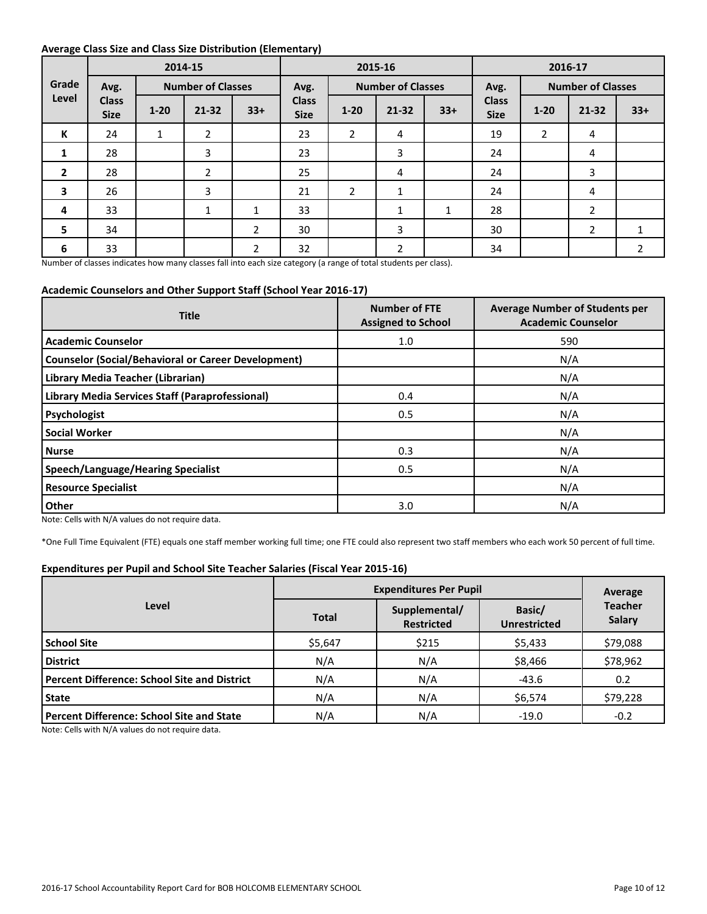# **Average Class Size and Class Size Distribution (Elementary)**

|                         |                             | . .<br>2015-16<br>2014-15<br>2016-17 |                          |                |                             |                |                          |       |                             |                |                          |       |
|-------------------------|-----------------------------|--------------------------------------|--------------------------|----------------|-----------------------------|----------------|--------------------------|-------|-----------------------------|----------------|--------------------------|-------|
| Grade                   | Avg.                        |                                      | <b>Number of Classes</b> |                | Avg.                        |                | <b>Number of Classes</b> |       | Avg.                        |                | <b>Number of Classes</b> |       |
| Level                   | <b>Class</b><br><b>Size</b> | $1 - 20$                             | $21 - 32$                | $33+$          | <b>Class</b><br><b>Size</b> | $1 - 20$       | $21 - 32$                | $33+$ | <b>Class</b><br><b>Size</b> | $1 - 20$       | $21 - 32$                | $33+$ |
| К                       | 24                          | $\mathbf{1}$                         | $\overline{2}$           |                | 23                          | $\overline{2}$ | 4                        |       | 19                          | $\overline{2}$ | 4                        |       |
| $\mathbf{1}$            | 28                          |                                      | 3                        |                | 23                          |                | 3                        |       | 24                          |                | 4                        |       |
| $\overline{2}$          | 28                          |                                      | $\overline{2}$           |                | 25                          |                | 4                        |       | 24                          |                | 3                        |       |
| $\overline{\mathbf{3}}$ | 26                          |                                      | 3                        |                | 21                          | 2              | $\mathbf{1}$             |       | 24                          |                | 4                        |       |
| 4                       | 33                          |                                      | 1                        | $\mathbf{1}$   | 33                          |                | 1                        | 1     | 28                          |                | $\overline{2}$           |       |
| 5                       | 34                          |                                      |                          | $\overline{2}$ | 30                          |                | 3                        |       | 30                          |                | $\overline{2}$           |       |
| 6                       | 33                          |                                      |                          | 2              | 32                          |                | $\overline{2}$           |       | 34                          |                |                          | 2     |

Number of classes indicates how many classes fall into each size category (a range of total students per class).

# **Academic Counselors and Other Support Staff (School Year 2016-17)**

| <b>Title</b>                                               | <b>Number of FTE</b><br><b>Assigned to School</b> | <b>Average Number of Students per</b><br><b>Academic Counselor</b> |
|------------------------------------------------------------|---------------------------------------------------|--------------------------------------------------------------------|
| <b>Academic Counselor</b>                                  | 1.0                                               | 590                                                                |
| <b>Counselor (Social/Behavioral or Career Development)</b> |                                                   | N/A                                                                |
| Library Media Teacher (Librarian)                          |                                                   | N/A                                                                |
| Library Media Services Staff (Paraprofessional)            | 0.4                                               | N/A                                                                |
| Psychologist                                               | 0.5                                               | N/A                                                                |
| <b>Social Worker</b>                                       |                                                   | N/A                                                                |
| <b>Nurse</b>                                               | 0.3                                               | N/A                                                                |
| <b>Speech/Language/Hearing Specialist</b>                  | 0.5                                               | N/A                                                                |
| <b>Resource Specialist</b>                                 |                                                   | N/A                                                                |
| Other                                                      | 3.0                                               | N/A                                                                |

Note: Cells with N/A values do not require data.

\*One Full Time Equivalent (FTE) equals one staff member working full time; one FTE could also represent two staff members who each work 50 percent of full time.

# **Expenditures per Pupil and School Site Teacher Salaries (Fiscal Year 2015-16)**

|                                                     | <b>Expenditures Per Pupil</b> | Average                            |                               |                                 |  |
|-----------------------------------------------------|-------------------------------|------------------------------------|-------------------------------|---------------------------------|--|
| Level                                               | <b>Total</b>                  | Supplemental/<br><b>Restricted</b> | Basic/<br><b>Unrestricted</b> | <b>Teacher</b><br><b>Salary</b> |  |
| l School Site                                       | \$5,647                       | \$215                              | \$5,433                       | \$79,088                        |  |
| <b>District</b>                                     | N/A                           | N/A                                | \$8,466                       | \$78,962                        |  |
| <b>Percent Difference: School Site and District</b> | N/A                           | N/A                                | $-43.6$                       | 0.2                             |  |
| <b>State</b>                                        | N/A                           | N/A                                | \$6,574                       | \$79,228                        |  |
| <b>Percent Difference: School Site and State</b>    | N/A                           | N/A                                | $-19.0$                       | $-0.2$                          |  |

Note: Cells with N/A values do not require data.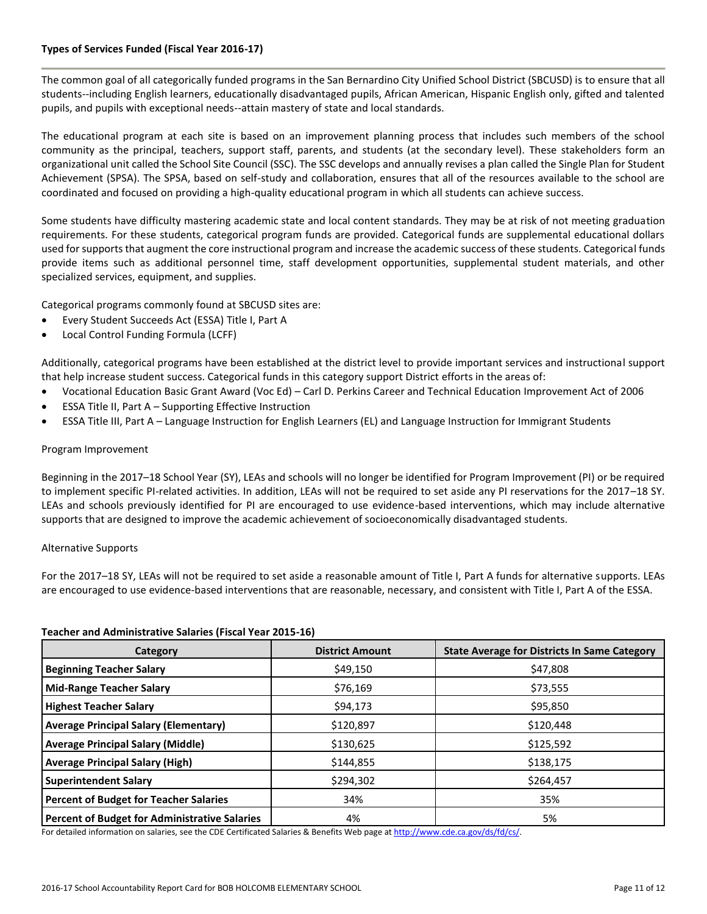# **Types of Services Funded (Fiscal Year 2016-17)**

The common goal of all categorically funded programs in the San Bernardino City Unified School District (SBCUSD) is to ensure that all students--including English learners, educationally disadvantaged pupils, African American, Hispanic English only, gifted and talented pupils, and pupils with exceptional needs--attain mastery of state and local standards.

The educational program at each site is based on an improvement planning process that includes such members of the school community as the principal, teachers, support staff, parents, and students (at the secondary level). These stakeholders form an organizational unit called the School Site Council (SSC). The SSC develops and annually revises a plan called the Single Plan for Student Achievement (SPSA). The SPSA, based on self-study and collaboration, ensures that all of the resources available to the school are coordinated and focused on providing a high-quality educational program in which all students can achieve success.

Some students have difficulty mastering academic state and local content standards. They may be at risk of not meeting graduation requirements. For these students, categorical program funds are provided. Categorical funds are supplemental educational dollars used for supports that augment the core instructional program and increase the academic success of these students. Categorical funds provide items such as additional personnel time, staff development opportunities, supplemental student materials, and other specialized services, equipment, and supplies.

Categorical programs commonly found at SBCUSD sites are:

- Every Student Succeeds Act (ESSA) Title I, Part A
- Local Control Funding Formula (LCFF)

Additionally, categorical programs have been established at the district level to provide important services and instructional support that help increase student success. Categorical funds in this category support District efforts in the areas of:

- Vocational Education Basic Grant Award (Voc Ed) Carl D. Perkins Career and Technical Education Improvement Act of 2006
- ESSA Title II, Part A Supporting Effective Instruction
- ESSA Title III, Part A Language Instruction for English Learners (EL) and Language Instruction for Immigrant Students

# Program Improvement

Beginning in the 2017–18 School Year (SY), LEAs and schools will no longer be identified for Program Improvement (PI) or be required to implement specific PI-related activities. In addition, LEAs will not be required to set aside any PI reservations for the 2017–18 SY. LEAs and schools previously identified for PI are encouraged to use evidence-based interventions, which may include alternative supports that are designed to improve the academic achievement of socioeconomically disadvantaged students.

## Alternative Supports

For the 2017–18 SY, LEAs will not be required to set aside a reasonable amount of Title I, Part A funds for alternative supports. LEAs are encouraged to use evidence-based interventions that are reasonable, necessary, and consistent with Title I, Part A of the ESSA.

#### **Teacher and Administrative Salaries (Fiscal Year 2015-16)**

| Category                                      | <b>District Amount</b> | <b>State Average for Districts In Same Category</b> |
|-----------------------------------------------|------------------------|-----------------------------------------------------|
| <b>Beginning Teacher Salary</b>               | \$49,150               | \$47,808                                            |
| <b>Mid-Range Teacher Salary</b>               | \$76,169               | \$73,555                                            |
| <b>Highest Teacher Salary</b>                 | \$94,173               | \$95,850                                            |
| <b>Average Principal Salary (Elementary)</b>  | \$120,897              | \$120,448                                           |
| <b>Average Principal Salary (Middle)</b>      | \$130,625              | \$125,592                                           |
| <b>Average Principal Salary (High)</b>        | \$144,855              | \$138,175                                           |
| <b>Superintendent Salary</b>                  | \$294,302              | \$264,457                                           |
| <b>Percent of Budget for Teacher Salaries</b> | 34%                    | 35%                                                 |
| Percent of Budget for Administrative Salaries | 4%                     | 5%                                                  |

For detailed information on salaries, see the CDE Certificated Salaries & Benefits Web page a[t http://www.cde.ca.gov/ds/fd/cs/.](http://www.cde.ca.gov/ds/fd/cs/)